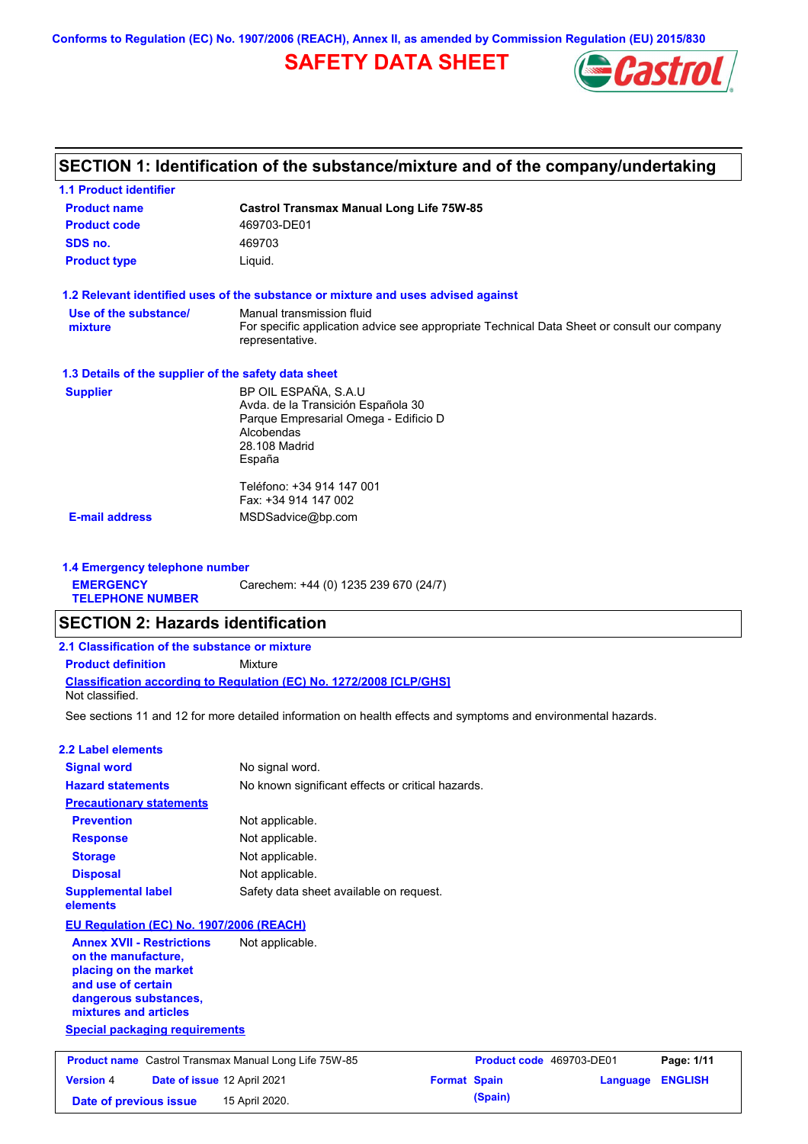**Conforms to Regulation (EC) No. 1907/2006 (REACH), Annex II, as amended by Commission Regulation (EU) 2015/830**

# **SAFETY DATA SHEET**



## **SECTION 1: Identification of the substance/mixture and of the company/undertaking**

| <b>1.1 Product identifier</b>                        |                                                                                                                |
|------------------------------------------------------|----------------------------------------------------------------------------------------------------------------|
| <b>Product name</b>                                  | <b>Castrol Transmax Manual Long Life 75W-85</b>                                                                |
| <b>Product code</b>                                  | 469703-DE01                                                                                                    |
| SDS no.                                              | 469703                                                                                                         |
| <b>Product type</b>                                  | Liquid.                                                                                                        |
|                                                      | 1.2 Relevant identified uses of the substance or mixture and uses advised against                              |
| Use of the substance/                                | Manual transmission fluid                                                                                      |
| mixture                                              | For specific application advice see appropriate Technical Data Sheet or consult our company<br>representative. |
| 1.3 Details of the supplier of the safety data sheet |                                                                                                                |
| <b>Supplier</b>                                      | BP OIL ESPAÑA, S.A.U                                                                                           |
|                                                      | Avda. de la Transición Española 30                                                                             |
|                                                      | Parque Empresarial Omega - Edificio D<br>Alcobendas                                                            |
|                                                      | 28.108 Madrid                                                                                                  |
|                                                      | España                                                                                                         |
|                                                      | Teléfono: +34 914 147 001                                                                                      |
|                                                      | Fax: +34 914 147 002                                                                                           |
| <b>E-mail address</b>                                | MSDSadvice@bp.com                                                                                              |
|                                                      |                                                                                                                |

**1.4 Emergency telephone number EMERGENCY TELEPHONE NUMBER** Carechem: +44 (0) 1235 239 670 (24/7)

## **SECTION 2: Hazards identification**

| 2.1 Classification of the substance or mixture |                                                                            |
|------------------------------------------------|----------------------------------------------------------------------------|
| <b>Product definition</b>                      | Mixture                                                                    |
| Not classified.                                | <b>Classification according to Regulation (EC) No. 1272/2008 ICLP/GHS1</b> |

See sections 11 and 12 for more detailed information on health effects and symptoms and environmental hazards.

### **2.2 Label elements**

**mixtures and articles**

| <b>Signal word</b>                                                                                                              | No signal word.                                   |
|---------------------------------------------------------------------------------------------------------------------------------|---------------------------------------------------|
| <b>Hazard statements</b>                                                                                                        | No known significant effects or critical hazards. |
| <b>Precautionary statements</b>                                                                                                 |                                                   |
| <b>Prevention</b>                                                                                                               | Not applicable.                                   |
| <b>Response</b>                                                                                                                 | Not applicable.                                   |
| <b>Storage</b>                                                                                                                  | Not applicable.                                   |
| <b>Disposal</b>                                                                                                                 | Not applicable.                                   |
| <b>Supplemental label</b><br>elements                                                                                           | Safety data sheet available on request.           |
| EU Regulation (EC) No. 1907/2006 (REACH)                                                                                        |                                                   |
| <b>Annex XVII - Restrictions</b><br>on the manufacture,<br>placing on the market<br>and use of certain<br>dangerous substances, | Not applicable.                                   |

**Special packaging requirements Product name** Castrol Transmax Manual Long Life 75W-85 **Product code** 469703-DE01 **Page: 1/11 Version** 4 **Date of issue** 12 April 2021 **Format Spain Language ENGLISH Date of previous issue 15 April 2020. (Spain) (Spain)**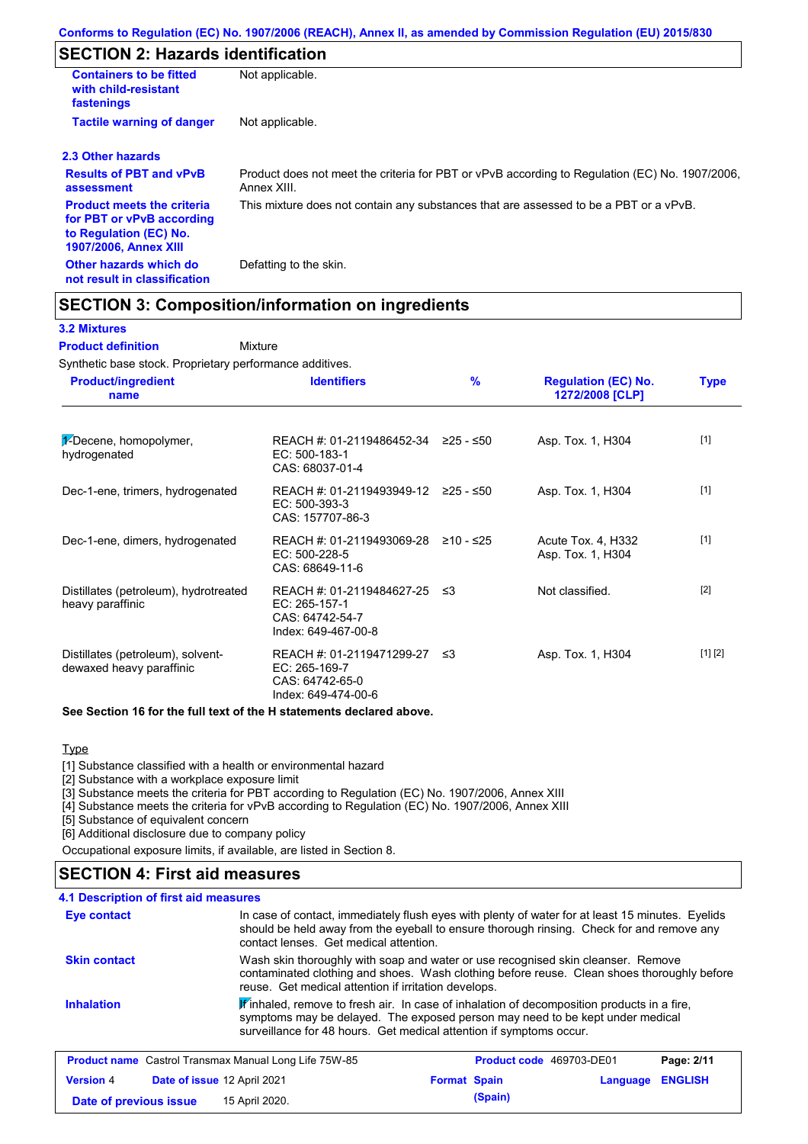# **SECTION 2: Hazards identification**

| <b>Containers to be fitted</b><br>with child-resistant<br>fastenings                                                     | Not applicable.                                                                                               |
|--------------------------------------------------------------------------------------------------------------------------|---------------------------------------------------------------------------------------------------------------|
| <b>Tactile warning of danger</b>                                                                                         | Not applicable.                                                                                               |
| 2.3 Other hazards                                                                                                        |                                                                                                               |
| <b>Results of PBT and vPvB</b><br>assessment                                                                             | Product does not meet the criteria for PBT or vPvB according to Regulation (EC) No. 1907/2006,<br>Annex XIII. |
| <b>Product meets the criteria</b><br>for PBT or vPvB according<br>to Regulation (EC) No.<br><b>1907/2006, Annex XIII</b> | This mixture does not contain any substances that are assessed to be a PBT or a vPvB.                         |
| Other hazards which do<br>not result in classification                                                                   | Defatting to the skin.                                                                                        |

## **SECTION 3: Composition/information on ingredients**

### **3.2 Mixtures**

Mixture **Product definition**

Synthetic base stock. Proprietary performance additives.

| <b>Product/ingredient</b><br>name                             | <b>Identifiers</b>                                                                      | $\frac{9}{6}$ | <b>Regulation (EC) No.</b><br>1272/2008 [CLP] | <b>Type</b> |
|---------------------------------------------------------------|-----------------------------------------------------------------------------------------|---------------|-----------------------------------------------|-------------|
| $\frac{1}{2}$ -Decene, homopolymer,<br>hydrogenated           | REACH #: 01-2119486452-34 $\geq$ 25 - $\leq$ 50<br>$EC: 500-183-1$<br>CAS: 68037-01-4   |               | Asp. Tox. 1, H304                             | $[1]$       |
| Dec-1-ene, trimers, hydrogenated                              | REACH #: 01-2119493949-12 ≥25 - ≤50<br>$EC: 500-393-3$<br>CAS: 157707-86-3              |               | Asp. Tox. 1, H304                             | $[1]$       |
| Dec-1-ene, dimers, hydrogenated                               | REACH #: 01-2119493069-28<br>EC: 500-228-5<br>CAS: 68649-11-6                           | ≥10 - ≤25     | Acute Tox. 4, H332<br>Asp. Tox. 1, H304       | $[1]$       |
| Distillates (petroleum), hydrotreated<br>heavy paraffinic     | REACH #: 01-2119484627-25 ≤3<br>EC: 265-157-1<br>CAS: 64742-54-7<br>Index: 649-467-00-8 |               | Not classified.                               | $[2]$       |
| Distillates (petroleum), solvent-<br>dewaxed heavy paraffinic | REACH #: 01-2119471299-27<br>EC: 265-169-7<br>CAS: 64742-65-0<br>Index: 649-474-00-6    | -≤3           | Asp. Tox. 1, H304                             | [1] [2]     |

#### **See Section 16 for the full text of the H statements declared above.**

**Type** 

[1] Substance classified with a health or environmental hazard

[2] Substance with a workplace exposure limit

[3] Substance meets the criteria for PBT according to Regulation (EC) No. 1907/2006, Annex XIII

[4] Substance meets the criteria for vPvB according to Regulation (EC) No. 1907/2006, Annex XIII

**Date of previous issue 15 April 2020. (Spain) (Spain)** 

[5] Substance of equivalent concern

[6] Additional disclosure due to company policy

Occupational exposure limits, if available, are listed in Section 8.

## **SECTION 4: First aid measures**

#### **4.1 Description of first aid measures**

| Eye contact         | In case of contact, immediately flush eyes with plenty of water for at least 15 minutes. Eyelids<br>should be held away from the eyeball to ensure thorough rinsing. Check for and remove any<br>contact lenses. Get medical attention.           |
|---------------------|---------------------------------------------------------------------------------------------------------------------------------------------------------------------------------------------------------------------------------------------------|
| <b>Skin contact</b> | Wash skin thoroughly with soap and water or use recognised skin cleanser. Remove<br>contaminated clothing and shoes. Wash clothing before reuse. Clean shoes thoroughly before<br>reuse. Get medical attention if irritation develops.            |
| <b>Inhalation</b>   | Finhaled, remove to fresh air. In case of inhalation of decomposition products in a fire,<br>symptoms may be delayed. The exposed person may need to be kept under medical<br>surveillance for 48 hours. Get medical attention if symptoms occur. |
|                     | <b>Product name</b> Castrol Transmax Manual Long Life 75W-85<br>Page: 2/11<br><b>Product code</b> 469703-DE01                                                                                                                                     |
| <b>Version 4</b>    | <b>ENGLISH</b><br>Date of issue 12 April 2021<br><b>Format Spain</b><br>Language                                                                                                                                                                  |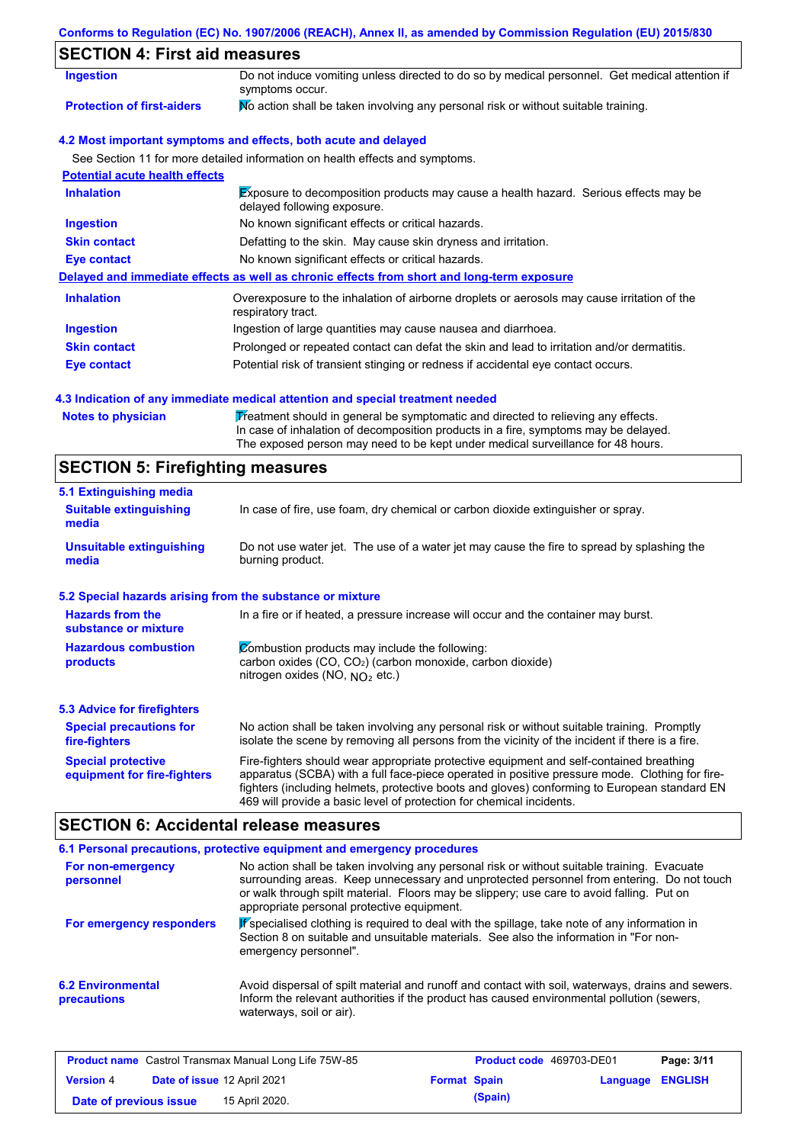### **Conforms to Regulation (EC) No. 1907/2006 (REACH), Annex II, as amended by Commission Regulation (EU) 2015/830**

# **SECTION 4: First aid measures**

| Ingestion                             | Do not induce vomiting unless directed to do so by medical personnel. Get medical attention if<br>symptoms occur.   |  |  |
|---------------------------------------|---------------------------------------------------------------------------------------------------------------------|--|--|
| <b>Protection of first-aiders</b>     | No action shall be taken involving any personal risk or without suitable training.                                  |  |  |
|                                       | 4.2 Most important symptoms and effects, both acute and delayed                                                     |  |  |
|                                       | See Section 11 for more detailed information on health effects and symptoms.                                        |  |  |
| <b>Potential acute health effects</b> |                                                                                                                     |  |  |
| <b>Inhalation</b>                     | Exposure to decomposition products may cause a health hazard. Serious effects may be<br>delayed following exposure. |  |  |
| <b>Ingestion</b>                      | No known significant effects or critical hazards.                                                                   |  |  |
| <b>Skin contact</b>                   | Defatting to the skin. May cause skin dryness and irritation.                                                       |  |  |
| Eye contact                           | No known significant effects or critical hazards.                                                                   |  |  |
|                                       | Delayed and immediate effects as well as chronic effects from short and long-term exposure                          |  |  |
| <b>Inhalation</b>                     | Overexposure to the inhalation of airborne droplets or aerosols may cause irritation of the<br>respiratory tract.   |  |  |
| <b>Ingestion</b>                      | Ingestion of large quantities may cause nausea and diarrhoea.                                                       |  |  |
| <b>Skin contact</b>                   | Prolonged or repeated contact can defat the skin and lead to irritation and/or dermatitis.                          |  |  |
| Eye contact                           | Potential risk of transient stinging or redness if accidental eye contact occurs.                                   |  |  |

#### **4.3 Indication of any immediate medical attention and special treatment needed**

Notes to physician **Treatment should in general be symptomatic and directed to relieving any effects.** In case of inhalation of decomposition products in a fire, symptoms may be delayed. The exposed person may need to be kept under medical surveillance for 48 hours.

## **SECTION 5: Firefighting measures**

| 5.1 Extinguishing media                                                                                                                                                                                 |                                                                                                                                                                                                                                                                                                                                                                   |  |  |
|---------------------------------------------------------------------------------------------------------------------------------------------------------------------------------------------------------|-------------------------------------------------------------------------------------------------------------------------------------------------------------------------------------------------------------------------------------------------------------------------------------------------------------------------------------------------------------------|--|--|
| In case of fire, use foam, dry chemical or carbon dioxide extinguisher or spray.<br><b>Suitable extinguishing</b><br>media                                                                              |                                                                                                                                                                                                                                                                                                                                                                   |  |  |
| <b>Unsuitable extinguishing</b><br>media                                                                                                                                                                | Do not use water jet. The use of a water jet may cause the fire to spread by splashing the<br>burning product.                                                                                                                                                                                                                                                    |  |  |
| 5.2 Special hazards arising from the substance or mixture                                                                                                                                               |                                                                                                                                                                                                                                                                                                                                                                   |  |  |
| <b>Hazards from the</b><br>substance or mixture                                                                                                                                                         | In a fire or if heated, a pressure increase will occur and the container may burst.                                                                                                                                                                                                                                                                               |  |  |
| <b>Hazardous combustion</b><br>Combustion products may include the following:<br>carbon oxides (CO, CO <sub>2</sub> ) (carbon monoxide, carbon dioxide)<br>products<br>nitrogen oxides (NO, $NO2$ etc.) |                                                                                                                                                                                                                                                                                                                                                                   |  |  |
| 5.3 Advice for firefighters                                                                                                                                                                             |                                                                                                                                                                                                                                                                                                                                                                   |  |  |
| <b>Special precautions for</b><br>fire-fighters                                                                                                                                                         | No action shall be taken involving any personal risk or without suitable training. Promptly<br>isolate the scene by removing all persons from the vicinity of the incident if there is a fire.                                                                                                                                                                    |  |  |
| <b>Special protective</b><br>equipment for fire-fighters                                                                                                                                                | Fire-fighters should wear appropriate protective equipment and self-contained breathing<br>apparatus (SCBA) with a full face-piece operated in positive pressure mode. Clothing for fire-<br>fighters (including helmets, protective boots and gloves) conforming to European standard EN<br>469 will provide a basic level of protection for chemical incidents. |  |  |

## **SECTION 6: Accidental release measures**

|                                         | 6.1 Personal precautions, protective equipment and emergency procedures                                                                                                                                                                                                                                                             |
|-----------------------------------------|-------------------------------------------------------------------------------------------------------------------------------------------------------------------------------------------------------------------------------------------------------------------------------------------------------------------------------------|
| For non-emergency<br>personnel          | No action shall be taken involving any personal risk or without suitable training. Evacuate<br>surrounding areas. Keep unnecessary and unprotected personnel from entering. Do not touch<br>or walk through spilt material. Floors may be slippery; use care to avoid falling. Put on<br>appropriate personal protective equipment. |
| For emergency responders                | Pspecialised clothing is required to deal with the spillage, take note of any information in<br>Section 8 on suitable and unsuitable materials. See also the information in "For non-<br>emergency personnel".                                                                                                                      |
| <b>6.2 Environmental</b><br>precautions | Avoid dispersal of spilt material and runoff and contact with soil, waterways, drains and sewers.<br>Inform the relevant authorities if the product has caused environmental pollution (sewers,<br>waterways, soil or air).                                                                                                         |

|                        |                             | <b>Product name</b> Castrol Transmax Manual Long Life 75W-85 |                     | <b>Product code</b> 469703-DE01 |                         | Page: 3/11 |
|------------------------|-----------------------------|--------------------------------------------------------------|---------------------|---------------------------------|-------------------------|------------|
| <b>Version 4</b>       | Date of issue 12 April 2021 |                                                              | <b>Format Spain</b> |                                 | <b>Language ENGLISH</b> |            |
| Date of previous issue |                             | 15 April 2020.                                               |                     | (Spain)                         |                         |            |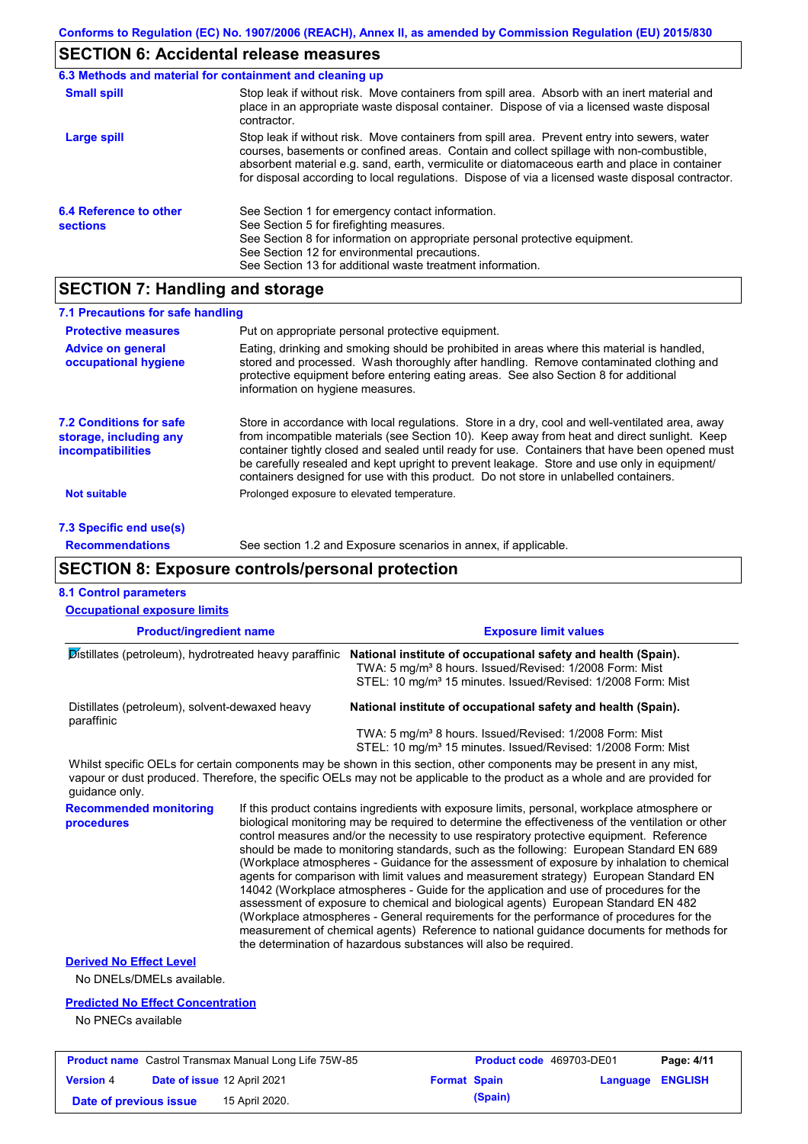# **SECTION 6: Accidental release measures**

|                                           | 6.3 Methods and material for containment and cleaning up                                                                                                                                                                                                                                                                                                                                       |
|-------------------------------------------|------------------------------------------------------------------------------------------------------------------------------------------------------------------------------------------------------------------------------------------------------------------------------------------------------------------------------------------------------------------------------------------------|
| <b>Small spill</b>                        | Stop leak if without risk. Move containers from spill area. Absorb with an inert material and<br>place in an appropriate waste disposal container. Dispose of via a licensed waste disposal<br>contractor.                                                                                                                                                                                     |
| <b>Large spill</b>                        | Stop leak if without risk. Move containers from spill area. Prevent entry into sewers, water<br>courses, basements or confined areas. Contain and collect spillage with non-combustible,<br>absorbent material e.g. sand, earth, vermiculite or diatomaceous earth and place in container<br>for disposal according to local regulations. Dispose of via a licensed waste disposal contractor. |
| 6.4 Reference to other<br><b>sections</b> | See Section 1 for emergency contact information.<br>See Section 5 for firefighting measures.<br>See Section 8 for information on appropriate personal protective equipment.<br>See Section 12 for environmental precautions.<br>See Section 13 for additional waste treatment information.                                                                                                     |

## **SECTION 7: Handling and storage**

| 7.1 Precautions for safe handling                                                    |                                                                                                                                                                                                                                                                                                                                                                                                                                                                                          |
|--------------------------------------------------------------------------------------|------------------------------------------------------------------------------------------------------------------------------------------------------------------------------------------------------------------------------------------------------------------------------------------------------------------------------------------------------------------------------------------------------------------------------------------------------------------------------------------|
| <b>Protective measures</b>                                                           | Put on appropriate personal protective equipment.                                                                                                                                                                                                                                                                                                                                                                                                                                        |
| <b>Advice on general</b><br>occupational hygiene                                     | Eating, drinking and smoking should be prohibited in areas where this material is handled.<br>stored and processed. Wash thoroughly after handling. Remove contaminated clothing and<br>protective equipment before entering eating areas. See also Section 8 for additional<br>information on hygiene measures.                                                                                                                                                                         |
| <b>7.2 Conditions for safe</b><br>storage, including any<br><i>incompatibilities</i> | Store in accordance with local regulations. Store in a dry, cool and well-ventilated area, away<br>from incompatible materials (see Section 10). Keep away from heat and direct sunlight. Keep<br>container tightly closed and sealed until ready for use. Containers that have been opened must<br>be carefully resealed and kept upright to prevent leakage. Store and use only in equipment/<br>containers designed for use with this product. Do not store in unlabelled containers. |
| Not suitable                                                                         | Prolonged exposure to elevated temperature.                                                                                                                                                                                                                                                                                                                                                                                                                                              |
| 7.3 Specific end use(s)                                                              |                                                                                                                                                                                                                                                                                                                                                                                                                                                                                          |

#### **Recommendations** See section 1.2 and Exposure scenarios in annex, if applicable.

**Date of previous issue 15 April 2020. (Spain) (Spain)** 

# **SECTION 8: Exposure controls/personal protection**

| <b>8.1 Control parameters</b>                                                                                                                                                                                                                                          |                                                                                                                                                                                                                                                                                                                                                                                                                                                                                                                                                                                                                                                                                                                                                                                                                                                                                                                                                                                                                            |                                                                                                                                                 |          |                |
|------------------------------------------------------------------------------------------------------------------------------------------------------------------------------------------------------------------------------------------------------------------------|----------------------------------------------------------------------------------------------------------------------------------------------------------------------------------------------------------------------------------------------------------------------------------------------------------------------------------------------------------------------------------------------------------------------------------------------------------------------------------------------------------------------------------------------------------------------------------------------------------------------------------------------------------------------------------------------------------------------------------------------------------------------------------------------------------------------------------------------------------------------------------------------------------------------------------------------------------------------------------------------------------------------------|-------------------------------------------------------------------------------------------------------------------------------------------------|----------|----------------|
| <b>Occupational exposure limits</b>                                                                                                                                                                                                                                    |                                                                                                                                                                                                                                                                                                                                                                                                                                                                                                                                                                                                                                                                                                                                                                                                                                                                                                                                                                                                                            |                                                                                                                                                 |          |                |
| <b>Product/ingredient name</b>                                                                                                                                                                                                                                         | <b>Exposure limit values</b>                                                                                                                                                                                                                                                                                                                                                                                                                                                                                                                                                                                                                                                                                                                                                                                                                                                                                                                                                                                               |                                                                                                                                                 |          |                |
| Distillates (petroleum), hydrotreated heavy paraffinic                                                                                                                                                                                                                 | National institute of occupational safety and health (Spain).<br>TWA: 5 mg/m <sup>3</sup> 8 hours. Issued/Revised: 1/2008 Form: Mist<br>STEL: 10 mg/m <sup>3</sup> 15 minutes. Issued/Revised: 1/2008 Form: Mist                                                                                                                                                                                                                                                                                                                                                                                                                                                                                                                                                                                                                                                                                                                                                                                                           |                                                                                                                                                 |          |                |
| Distillates (petroleum), solvent-dewaxed heavy<br>paraffinic                                                                                                                                                                                                           |                                                                                                                                                                                                                                                                                                                                                                                                                                                                                                                                                                                                                                                                                                                                                                                                                                                                                                                                                                                                                            | National institute of occupational safety and health (Spain).                                                                                   |          |                |
|                                                                                                                                                                                                                                                                        |                                                                                                                                                                                                                                                                                                                                                                                                                                                                                                                                                                                                                                                                                                                                                                                                                                                                                                                                                                                                                            | TWA: 5 mg/m <sup>3</sup> 8 hours. Issued/Revised: 1/2008 Form: Mist<br>STEL: 10 mg/m <sup>3</sup> 15 minutes. Issued/Revised: 1/2008 Form: Mist |          |                |
| Whilst specific OELs for certain components may be shown in this section, other components may be present in any mist,<br>vapour or dust produced. Therefore, the specific OELs may not be applicable to the product as a whole and are provided for<br>quidance only. |                                                                                                                                                                                                                                                                                                                                                                                                                                                                                                                                                                                                                                                                                                                                                                                                                                                                                                                                                                                                                            |                                                                                                                                                 |          |                |
| <b>Recommended monitoring</b><br>procedures                                                                                                                                                                                                                            | If this product contains ingredients with exposure limits, personal, workplace atmosphere or<br>biological monitoring may be required to determine the effectiveness of the ventilation or other<br>control measures and/or the necessity to use respiratory protective equipment. Reference<br>should be made to monitoring standards, such as the following: European Standard EN 689<br>(Workplace atmospheres - Guidance for the assessment of exposure by inhalation to chemical<br>agents for comparison with limit values and measurement strategy) European Standard EN<br>14042 (Workplace atmospheres - Guide for the application and use of procedures for the<br>assessment of exposure to chemical and biological agents) European Standard EN 482<br>(Workplace atmospheres - General requirements for the performance of procedures for the<br>measurement of chemical agents) Reference to national guidance documents for methods for<br>the determination of hazardous substances will also be required. |                                                                                                                                                 |          |                |
| <b>Derived No Effect Level</b><br>No DNELs/DMELs available.                                                                                                                                                                                                            |                                                                                                                                                                                                                                                                                                                                                                                                                                                                                                                                                                                                                                                                                                                                                                                                                                                                                                                                                                                                                            |                                                                                                                                                 |          |                |
| <b>Predicted No Effect Concentration</b><br>No PNECs available                                                                                                                                                                                                         |                                                                                                                                                                                                                                                                                                                                                                                                                                                                                                                                                                                                                                                                                                                                                                                                                                                                                                                                                                                                                            |                                                                                                                                                 |          |                |
| <b>Product name</b> Castrol Transmax Manual Long Life 75W-85                                                                                                                                                                                                           |                                                                                                                                                                                                                                                                                                                                                                                                                                                                                                                                                                                                                                                                                                                                                                                                                                                                                                                                                                                                                            | Product code 469703-DE01                                                                                                                        |          | Page: 4/11     |
| Date of issue 12 April 2021<br><b>Version 4</b>                                                                                                                                                                                                                        | <b>Format Spain</b>                                                                                                                                                                                                                                                                                                                                                                                                                                                                                                                                                                                                                                                                                                                                                                                                                                                                                                                                                                                                        |                                                                                                                                                 | Language | <b>ENGLISH</b> |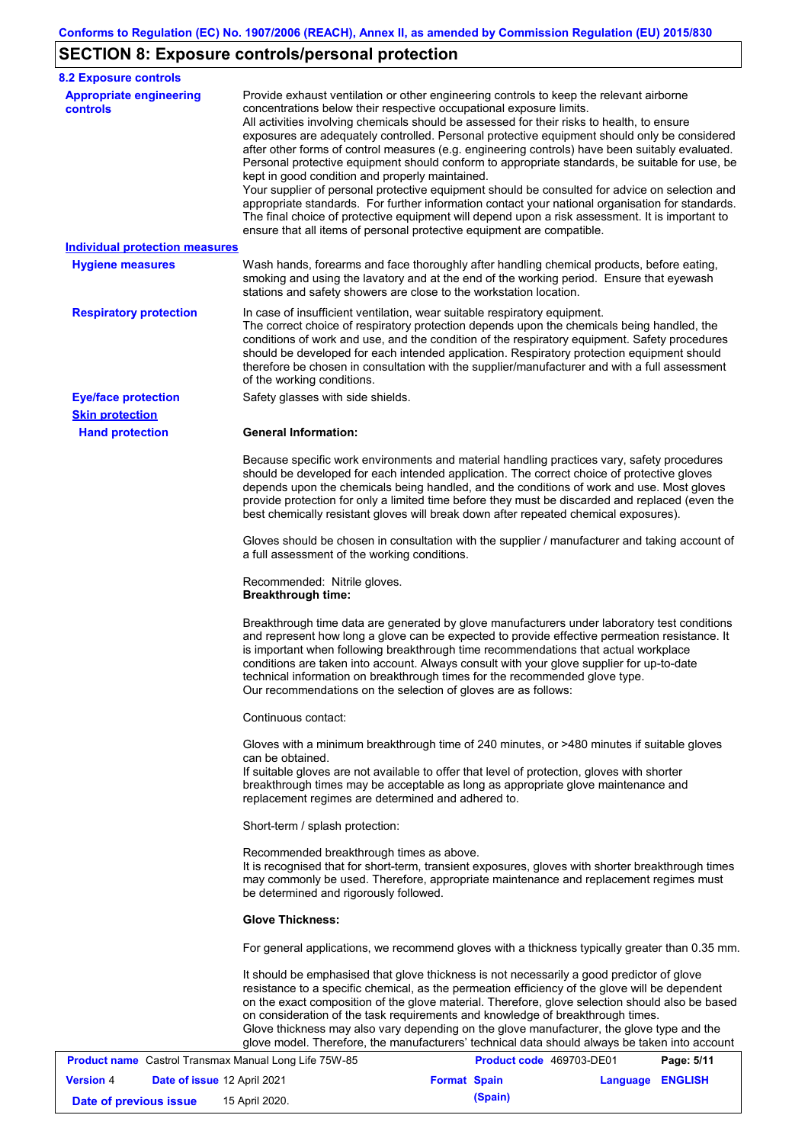# **SECTION 8: Exposure controls/personal protection**

| <b>8.2 Exposure controls</b>                          |                                                                                                                        |                                                                                                                                                                                                                                                                                                                                                                                                                                                                                                                                                                                                                                                                                                                                                                                                                                                                               |            |
|-------------------------------------------------------|------------------------------------------------------------------------------------------------------------------------|-------------------------------------------------------------------------------------------------------------------------------------------------------------------------------------------------------------------------------------------------------------------------------------------------------------------------------------------------------------------------------------------------------------------------------------------------------------------------------------------------------------------------------------------------------------------------------------------------------------------------------------------------------------------------------------------------------------------------------------------------------------------------------------------------------------------------------------------------------------------------------|------------|
| <b>Appropriate engineering</b><br>controls            | concentrations below their respective occupational exposure limits.<br>kept in good condition and properly maintained. | Provide exhaust ventilation or other engineering controls to keep the relevant airborne<br>All activities involving chemicals should be assessed for their risks to health, to ensure<br>exposures are adequately controlled. Personal protective equipment should only be considered<br>after other forms of control measures (e.g. engineering controls) have been suitably evaluated.<br>Personal protective equipment should conform to appropriate standards, be suitable for use, be<br>Your supplier of personal protective equipment should be consulted for advice on selection and<br>appropriate standards. For further information contact your national organisation for standards.<br>The final choice of protective equipment will depend upon a risk assessment. It is important to<br>ensure that all items of personal protective equipment are compatible. |            |
| <b>Individual protection measures</b>                 |                                                                                                                        |                                                                                                                                                                                                                                                                                                                                                                                                                                                                                                                                                                                                                                                                                                                                                                                                                                                                               |            |
| <b>Hygiene measures</b>                               | stations and safety showers are close to the workstation location.                                                     | Wash hands, forearms and face thoroughly after handling chemical products, before eating,<br>smoking and using the lavatory and at the end of the working period. Ensure that eyewash                                                                                                                                                                                                                                                                                                                                                                                                                                                                                                                                                                                                                                                                                         |            |
| <b>Respiratory protection</b>                         | of the working conditions.                                                                                             | In case of insufficient ventilation, wear suitable respiratory equipment.<br>The correct choice of respiratory protection depends upon the chemicals being handled, the<br>conditions of work and use, and the condition of the respiratory equipment. Safety procedures<br>should be developed for each intended application. Respiratory protection equipment should<br>therefore be chosen in consultation with the supplier/manufacturer and with a full assessment                                                                                                                                                                                                                                                                                                                                                                                                       |            |
| <b>Eye/face protection</b><br><b>Skin protection</b>  | Safety glasses with side shields.                                                                                      |                                                                                                                                                                                                                                                                                                                                                                                                                                                                                                                                                                                                                                                                                                                                                                                                                                                                               |            |
| <b>Hand protection</b>                                | <b>General Information:</b>                                                                                            |                                                                                                                                                                                                                                                                                                                                                                                                                                                                                                                                                                                                                                                                                                                                                                                                                                                                               |            |
|                                                       |                                                                                                                        | Because specific work environments and material handling practices vary, safety procedures<br>should be developed for each intended application. The correct choice of protective gloves<br>depends upon the chemicals being handled, and the conditions of work and use. Most gloves<br>provide protection for only a limited time before they must be discarded and replaced (even the<br>best chemically resistant gloves will break down after repeated chemical exposures).                                                                                                                                                                                                                                                                                                                                                                                              |            |
|                                                       | a full assessment of the working conditions.                                                                           | Gloves should be chosen in consultation with the supplier / manufacturer and taking account of                                                                                                                                                                                                                                                                                                                                                                                                                                                                                                                                                                                                                                                                                                                                                                                |            |
|                                                       | Recommended: Nitrile gloves.<br><b>Breakthrough time:</b>                                                              |                                                                                                                                                                                                                                                                                                                                                                                                                                                                                                                                                                                                                                                                                                                                                                                                                                                                               |            |
|                                                       | Our recommendations on the selection of gloves are as follows:                                                         | Breakthrough time data are generated by glove manufacturers under laboratory test conditions<br>and represent how long a glove can be expected to provide effective permeation resistance. It<br>is important when following breakthrough time recommendations that actual workplace<br>conditions are taken into account. Always consult with your glove supplier for up-to-date<br>technical information on breakthrough times for the recommended glove type.                                                                                                                                                                                                                                                                                                                                                                                                              |            |
|                                                       | Continuous contact:                                                                                                    |                                                                                                                                                                                                                                                                                                                                                                                                                                                                                                                                                                                                                                                                                                                                                                                                                                                                               |            |
|                                                       | can be obtained.                                                                                                       | Gloves with a minimum breakthrough time of 240 minutes, or >480 minutes if suitable gloves<br>If suitable gloves are not available to offer that level of protection, gloves with shorter<br>breakthrough times may be acceptable as long as appropriate glove maintenance and                                                                                                                                                                                                                                                                                                                                                                                                                                                                                                                                                                                                |            |
|                                                       | replacement regimes are determined and adhered to.                                                                     |                                                                                                                                                                                                                                                                                                                                                                                                                                                                                                                                                                                                                                                                                                                                                                                                                                                                               |            |
|                                                       | Short-term / splash protection:                                                                                        |                                                                                                                                                                                                                                                                                                                                                                                                                                                                                                                                                                                                                                                                                                                                                                                                                                                                               |            |
|                                                       | Recommended breakthrough times as above.<br>be determined and rigorously followed.                                     | It is recognised that for short-term, transient exposures, gloves with shorter breakthrough times<br>may commonly be used. Therefore, appropriate maintenance and replacement regimes must                                                                                                                                                                                                                                                                                                                                                                                                                                                                                                                                                                                                                                                                                    |            |
|                                                       | <b>Glove Thickness:</b>                                                                                                |                                                                                                                                                                                                                                                                                                                                                                                                                                                                                                                                                                                                                                                                                                                                                                                                                                                                               |            |
|                                                       |                                                                                                                        | For general applications, we recommend gloves with a thickness typically greater than 0.35 mm.                                                                                                                                                                                                                                                                                                                                                                                                                                                                                                                                                                                                                                                                                                                                                                                |            |
|                                                       |                                                                                                                        | It should be emphasised that glove thickness is not necessarily a good predictor of glove<br>resistance to a specific chemical, as the permeation efficiency of the glove will be dependent<br>on the exact composition of the glove material. Therefore, glove selection should also be based<br>on consideration of the task requirements and knowledge of breakthrough times.<br>Glove thickness may also vary depending on the glove manufacturer, the glove type and the<br>glove model. Therefore, the manufacturers' technical data should always be taken into account                                                                                                                                                                                                                                                                                                |            |
| Product name Castrol Transmax Manual Long Life 75W-85 |                                                                                                                        | Product code 469703-DE01                                                                                                                                                                                                                                                                                                                                                                                                                                                                                                                                                                                                                                                                                                                                                                                                                                                      | Page: 5/11 |

|                        | <b>Product name</b> Castrol Transmax Manual Long Life 75W-85 |                     | Product code 469703-DE01 |                  | Page: 5/11 |
|------------------------|--------------------------------------------------------------|---------------------|--------------------------|------------------|------------|
| <b>Version 4</b>       | Date of issue 12 April 2021                                  | <b>Format Spain</b> |                          | Language ENGLISH |            |
| Date of previous issue | 15 April 2020.                                               |                     | (Spain)                  |                  |            |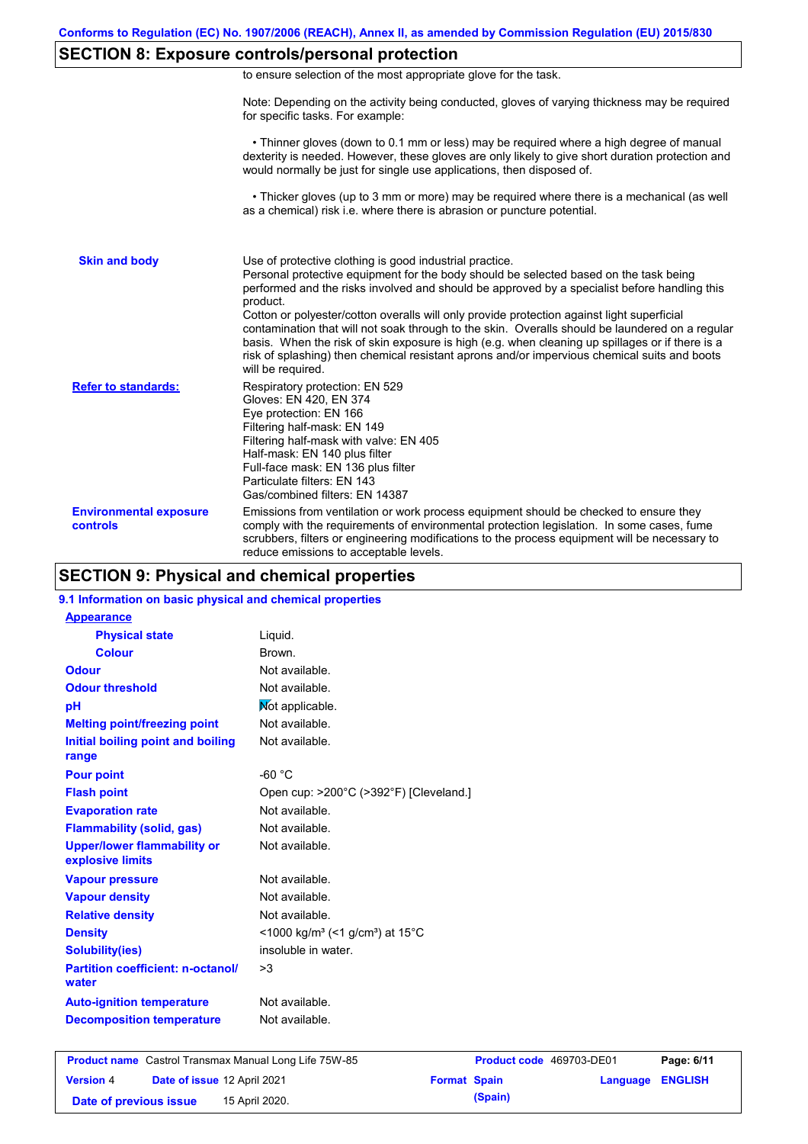## **SECTION 8: Exposure controls/personal protection**

|  | to ensure selection of the most appropriate glove for the task. |  |  |  |  |
|--|-----------------------------------------------------------------|--|--|--|--|
|  |                                                                 |  |  |  |  |

Note: Depending on the activity being conducted, gloves of varying thickness may be required for specific tasks. For example:

 • Thinner gloves (down to 0.1 mm or less) may be required where a high degree of manual dexterity is needed. However, these gloves are only likely to give short duration protection and would normally be just for single use applications, then disposed of.

 • Thicker gloves (up to 3 mm or more) may be required where there is a mechanical (as well as a chemical) risk i.e. where there is abrasion or puncture potential.

| <b>Skin and body</b>                      | Use of protective clothing is good industrial practice.<br>Personal protective equipment for the body should be selected based on the task being<br>performed and the risks involved and should be approved by a specialist before handling this<br>product.<br>Cotton or polyester/cotton overalls will only provide protection against light superficial<br>contamination that will not soak through to the skin. Overalls should be laundered on a regular<br>basis. When the risk of skin exposure is high (e.g. when cleaning up spillages or if there is a<br>risk of splashing) then chemical resistant aprons and/or impervious chemical suits and boots<br>will be required. |
|-------------------------------------------|---------------------------------------------------------------------------------------------------------------------------------------------------------------------------------------------------------------------------------------------------------------------------------------------------------------------------------------------------------------------------------------------------------------------------------------------------------------------------------------------------------------------------------------------------------------------------------------------------------------------------------------------------------------------------------------|
| <b>Refer to standards:</b>                | Respiratory protection: EN 529<br>Gloves: EN 420, EN 374<br>Eye protection: EN 166<br>Filtering half-mask: EN 149<br>Filtering half-mask with valve: EN 405<br>Half-mask: EN 140 plus filter<br>Full-face mask: EN 136 plus filter<br>Particulate filters: EN 143<br>Gas/combined filters: EN 14387                                                                                                                                                                                                                                                                                                                                                                                   |
| <b>Environmental exposure</b><br>controls | Emissions from ventilation or work process equipment should be checked to ensure they<br>comply with the requirements of environmental protection legislation. In some cases, fume<br>scrubbers, filters or engineering modifications to the process equipment will be necessary to<br>reduce emissions to acceptable levels.                                                                                                                                                                                                                                                                                                                                                         |

## **SECTION 9: Physical and chemical properties**

#### **9.1 Information on basic physical and chemical properties**

| <b>Appearance</b>                                      |                                                                            |
|--------------------------------------------------------|----------------------------------------------------------------------------|
| <b>Physical state</b>                                  | Liquid.                                                                    |
| <b>Colour</b>                                          | Brown.                                                                     |
| Odour                                                  | Not available.                                                             |
| <b>Odour threshold</b>                                 | Not available.                                                             |
| pH                                                     | Not applicable.                                                            |
| <b>Melting point/freezing point</b>                    | Not available.                                                             |
| <b>Initial boiling point and boiling</b>               | Not available.                                                             |
| range                                                  |                                                                            |
| <b>Pour point</b>                                      | -60 °C                                                                     |
| <b>Flash point</b>                                     | Open cup: >200°C (>392°F) [Cleveland.]                                     |
| <b>Evaporation rate</b>                                | Not available.                                                             |
| <b>Flammability (solid, gas)</b>                       | Not available.                                                             |
| <b>Upper/lower flammability or</b><br>explosive limits | Not available.                                                             |
| <b>Vapour pressure</b>                                 | Not available.                                                             |
| <b>Vapour density</b>                                  | Not available.                                                             |
| <b>Relative density</b>                                | Not available.                                                             |
| <b>Density</b>                                         | $\leq$ 1000 kg/m <sup>3</sup> (<1 g/cm <sup>3</sup> ) at 15 <sup>°</sup> C |
| <b>Solubility(ies)</b>                                 | insoluble in water.                                                        |
| <b>Partition coefficient: n-octanol/</b><br>water      | >3                                                                         |
| <b>Auto-ignition temperature</b>                       | Not available.                                                             |
|                                                        |                                                                            |

|                        |                                    | <b>Product name</b> Castrol Transmax Manual Long Life 75W-85 |                     | Product code 469703-DE01 |                         | Page: 6/11 |
|------------------------|------------------------------------|--------------------------------------------------------------|---------------------|--------------------------|-------------------------|------------|
| <b>Version 4</b>       | <b>Date of issue 12 April 2021</b> |                                                              | <b>Format Spain</b> |                          | <b>Language ENGLISH</b> |            |
| Date of previous issue |                                    | 15 April 2020.                                               |                     | (Spain)                  |                         |            |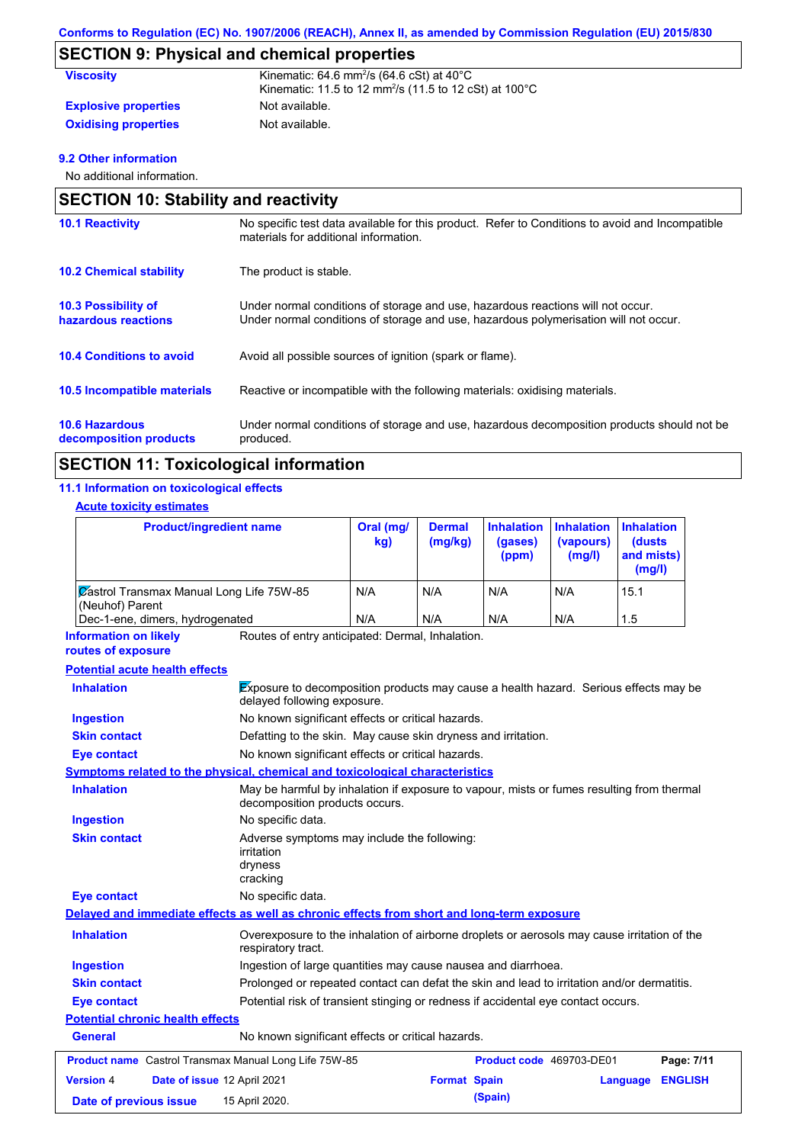# **SECTION 9: Physical and chemical properties**

| <b>Viscosity</b>            | Kinematic: $64.6$ mm <sup>2</sup> /s $(64.6$ cSt) at $40^{\circ}$ C           |
|-----------------------------|-------------------------------------------------------------------------------|
|                             | Kinematic: 11.5 to 12 mm <sup>2</sup> /s (11.5 to 12 cSt) at 100 $^{\circ}$ C |
| <b>Explosive properties</b> | Not available.                                                                |
| <b>Oxidising properties</b> | Not available.                                                                |

### **9.2 Other information**

No additional information.

| <b>SECTION 10: Stability and reactivity</b>       |                                                                                                                                                                         |  |  |
|---------------------------------------------------|-------------------------------------------------------------------------------------------------------------------------------------------------------------------------|--|--|
| <b>10.1 Reactivity</b>                            | No specific test data available for this product. Refer to Conditions to avoid and Incompatible<br>materials for additional information.                                |  |  |
| <b>10.2 Chemical stability</b>                    | The product is stable.                                                                                                                                                  |  |  |
| <b>10.3 Possibility of</b><br>hazardous reactions | Under normal conditions of storage and use, hazardous reactions will not occur.<br>Under normal conditions of storage and use, hazardous polymerisation will not occur. |  |  |
| <b>10.4 Conditions to avoid</b>                   | Avoid all possible sources of ignition (spark or flame).                                                                                                                |  |  |
| <b>10.5 Incompatible materials</b>                | Reactive or incompatible with the following materials: oxidising materials.                                                                                             |  |  |
| <b>10.6 Hazardous</b><br>decomposition products   | Under normal conditions of storage and use, hazardous decomposition products should not be<br>produced.                                                                 |  |  |

## **SECTION 11: Toxicological information**

### **11.1 Information on toxicological effects**

### **Acute toxicity estimates**

| <b>Product/ingredient name</b>                              | Oral (mg/<br>kg) | <b>Dermal</b><br>(mg/kg) | Inhalation Inhalation<br>(gases)<br>(ppm) | (vapours)<br>(mg/l) | <b>Inhalation</b><br>(dusts)<br>and mists)<br>(mg/l) |
|-------------------------------------------------------------|------------------|--------------------------|-------------------------------------------|---------------------|------------------------------------------------------|
| Zastrol Transmax Manual Long Life 75W-85<br>(Neuhof) Parent | N/A              | N/A                      | N/A                                       | N/A                 | 15.1                                                 |
| Dec-1-ene, dimers, hydrogenated                             | N/A              | N/A                      | N/A                                       | N/A                 | 1.5                                                  |

Routes of entry anticipated: Dermal, Inhalation. **Information on likely** 

#### **routes of exposure**

### **Potential acute health effects**

| <b>Inhalation</b>                       |                                                               |                                                                                                                             | <b>Exposure to decomposition products may cause a health hazard.</b> Serious effects may be<br>delayed following exposure. |                          |          |                |
|-----------------------------------------|---------------------------------------------------------------|-----------------------------------------------------------------------------------------------------------------------------|----------------------------------------------------------------------------------------------------------------------------|--------------------------|----------|----------------|
| Ingestion                               |                                                               | No known significant effects or critical hazards.                                                                           |                                                                                                                            |                          |          |                |
| <b>Skin contact</b>                     |                                                               | Defatting to the skin. May cause skin dryness and irritation.                                                               |                                                                                                                            |                          |          |                |
| Eye contact                             |                                                               | No known significant effects or critical hazards.                                                                           |                                                                                                                            |                          |          |                |
|                                         |                                                               | Symptoms related to the physical, chemical and toxicological characteristics                                                |                                                                                                                            |                          |          |                |
| <b>Inhalation</b>                       |                                                               | May be harmful by inhalation if exposure to vapour, mists or fumes resulting from thermal<br>decomposition products occurs. |                                                                                                                            |                          |          |                |
| <b>Ingestion</b>                        |                                                               | No specific data.                                                                                                           |                                                                                                                            |                          |          |                |
| <b>Skin contact</b>                     |                                                               | Adverse symptoms may include the following:<br>irritation<br>dryness<br>cracking                                            |                                                                                                                            |                          |          |                |
| <b>Eye contact</b>                      |                                                               | No specific data.                                                                                                           |                                                                                                                            |                          |          |                |
|                                         |                                                               | Delayed and immediate effects as well as chronic effects from short and long-term exposure                                  |                                                                                                                            |                          |          |                |
| <b>Inhalation</b>                       |                                                               | Overexposure to the inhalation of airborne droplets or aerosols may cause irritation of the<br>respiratory tract.           |                                                                                                                            |                          |          |                |
| <b>Ingestion</b>                        | Ingestion of large quantities may cause nausea and diarrhoea. |                                                                                                                             |                                                                                                                            |                          |          |                |
| <b>Skin contact</b>                     |                                                               |                                                                                                                             | Prolonged or repeated contact can defat the skin and lead to irritation and/or dermatitis.                                 |                          |          |                |
| Eye contact                             |                                                               | Potential risk of transient stinging or redness if accidental eye contact occurs.                                           |                                                                                                                            |                          |          |                |
| <b>Potential chronic health effects</b> |                                                               |                                                                                                                             |                                                                                                                            |                          |          |                |
| General                                 |                                                               | No known significant effects or critical hazards.                                                                           |                                                                                                                            |                          |          |                |
|                                         |                                                               | <b>Product name</b> Castrol Transmax Manual Long Life 75W-85                                                                |                                                                                                                            | Product code 469703-DE01 |          | Page: 7/11     |
| <b>Version 4</b>                        | Date of issue 12 April 2021                                   |                                                                                                                             |                                                                                                                            | <b>Format Spain</b>      | Language | <b>ENGLISH</b> |
| Date of previous issue                  |                                                               | 15 April 2020.                                                                                                              |                                                                                                                            | (Spain)                  |          |                |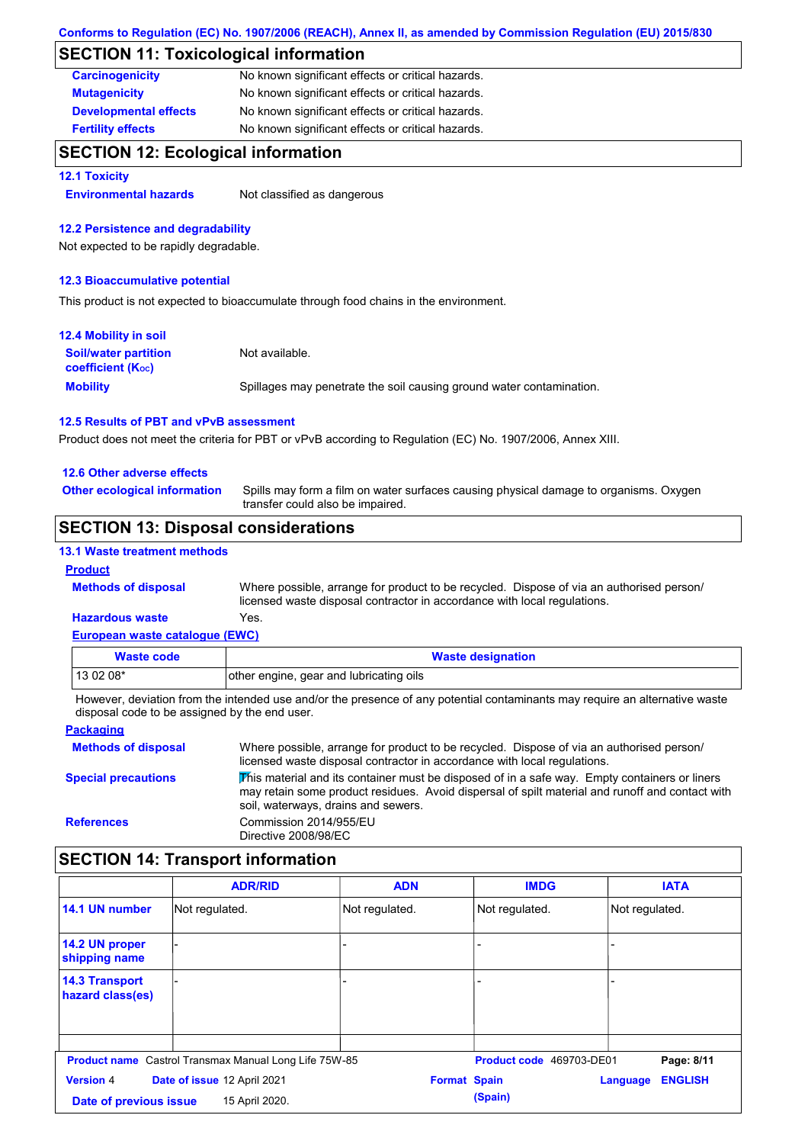## **SECTION 11: Toxicological information**

| <b>Carcinogenicity</b>       | No known significant effects or critical hazards. |
|------------------------------|---------------------------------------------------|
| <b>Mutagenicity</b>          | No known significant effects or critical hazards. |
| <b>Developmental effects</b> | No known significant effects or critical hazards. |
| <b>Fertility effects</b>     | No known significant effects or critical hazards. |

## **SECTION 12: Ecological information**

#### **12.1 Toxicity**

**Environmental hazards** Not classified as dangerous

### **12.2 Persistence and degradability**

Not expected to be rapidly degradable.

#### **12.3 Bioaccumulative potential**

This product is not expected to bioaccumulate through food chains in the environment.

| <b>12.4 Mobility in soil</b>                            |                                                                      |
|---------------------------------------------------------|----------------------------------------------------------------------|
| <b>Soil/water partition</b><br><b>coefficient (Koc)</b> | Not available.                                                       |
| <b>Mobility</b>                                         | Spillages may penetrate the soil causing ground water contamination. |

#### **12.5 Results of PBT and vPvB assessment**

Product does not meet the criteria for PBT or vPvB according to Regulation (EC) No. 1907/2006, Annex XIII.

#### **12.6 Other adverse effects**

**Other ecological information**

Spills may form a film on water surfaces causing physical damage to organisms. Oxygen transfer could also be impaired.

## **SECTION 13: Disposal considerations**

#### **13.1 Waste treatment methods**

### **Product**

**Methods of disposal**

Where possible, arrange for product to be recycled. Dispose of via an authorised person/ licensed waste disposal contractor in accordance with local regulations.

#### **European waste catalogue (EWC) Hazardous waste** Yes.

| <u>European muoto cataloguo (ETTO)</u> |                                         |
|----------------------------------------|-----------------------------------------|
| Waste code                             | <b>Waste designation</b>                |
| $130208*$                              | other engine, gear and lubricating oils |

However, deviation from the intended use and/or the presence of any potential contaminants may require an alternative waste disposal code to be assigned by the end user.

#### **Packaging Methods of disposal Special precautions** Where possible, arrange for product to be recycled. Dispose of via an authorised person/ licensed waste disposal contractor in accordance with local regulations. This material and its container must be disposed of in a safe way. Empty containers or liners may retain some product residues. Avoid dispersal of spilt material and runoff and contact with soil, waterways, drains and sewers. **References** Commission 2014/955/EU Directive 2008/98/EC

## **SECTION 14: Transport information**

|                                           | <b>ADR/RID</b>                                               | <b>ADN</b>          | <b>IMDG</b>              | <b>IATA</b>                |
|-------------------------------------------|--------------------------------------------------------------|---------------------|--------------------------|----------------------------|
| 14.1 UN number                            | Not regulated.                                               | Not regulated.      | Not regulated.           | Not regulated.             |
| 14.2 UN proper<br>shipping name           |                                                              |                     |                          |                            |
| <b>14.3 Transport</b><br>hazard class(es) |                                                              |                     |                          |                            |
|                                           | <b>Product name</b> Castrol Transmax Manual Long Life 75W-85 |                     | Product code 469703-DE01 | Page: 8/11                 |
| <b>Version 4</b>                          | Date of issue 12 April 2021                                  | <b>Format Spain</b> |                          | <b>ENGLISH</b><br>Language |
| Date of previous issue                    | 15 April 2020.                                               |                     | (Spain)                  |                            |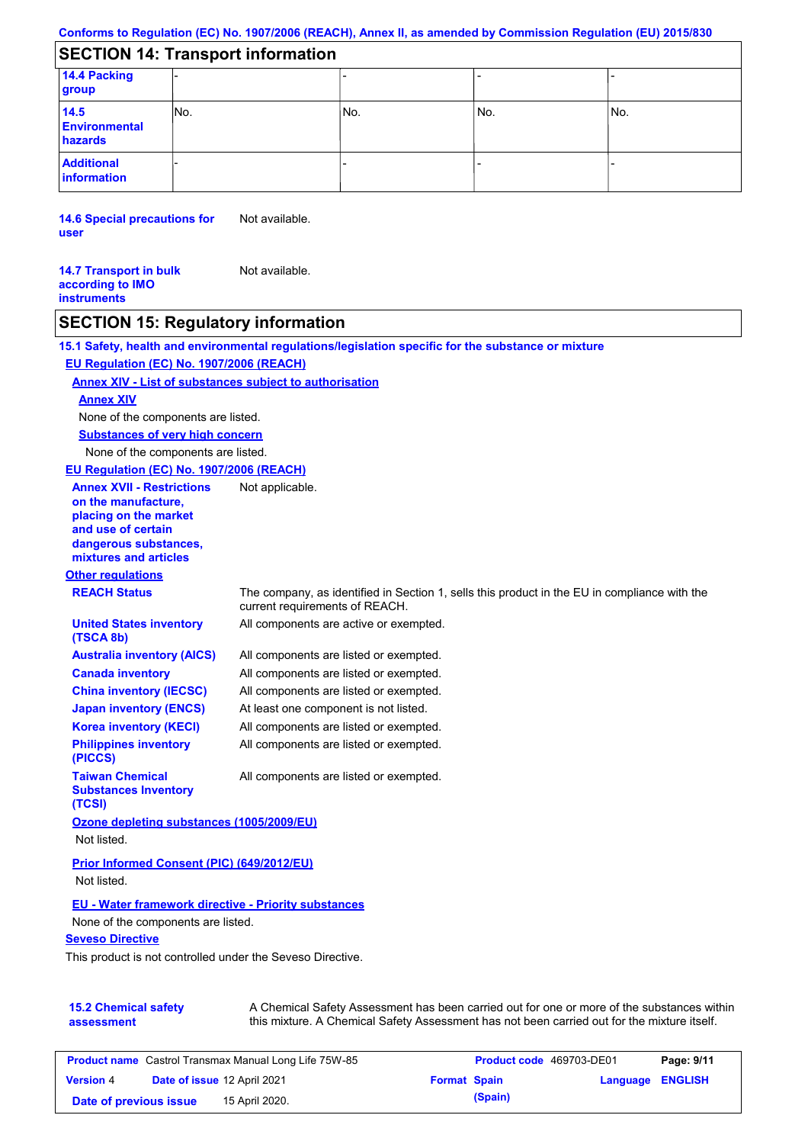# **SECTION 14: Transport information**

| 14.4 Packing<br>group                   |      |     |     |      |  |
|-----------------------------------------|------|-----|-----|------|--|
| 14.5<br><b>Environmental</b><br>hazards | INo. | No. | No. | lNo. |  |
| <b>Additional</b><br>information        |      |     |     |      |  |

**14.6 Special precautions for user** Not available.

**14.7 Transport in bulk according to IMO instruments** Not available.

## **SECTION 15: Regulatory information**

|                                                                                                                                                          | 15.1 Safety, health and environmental regulations/legislation specific for the substance or mixture                                                                                       |
|----------------------------------------------------------------------------------------------------------------------------------------------------------|-------------------------------------------------------------------------------------------------------------------------------------------------------------------------------------------|
| EU Regulation (EC) No. 1907/2006 (REACH)                                                                                                                 |                                                                                                                                                                                           |
| <b>Annex XIV - List of substances subject to authorisation</b>                                                                                           |                                                                                                                                                                                           |
| <b>Annex XIV</b>                                                                                                                                         |                                                                                                                                                                                           |
| None of the components are listed.                                                                                                                       |                                                                                                                                                                                           |
| <b>Substances of very high concern</b>                                                                                                                   |                                                                                                                                                                                           |
| None of the components are listed.                                                                                                                       |                                                                                                                                                                                           |
| EU Regulation (EC) No. 1907/2006 (REACH)                                                                                                                 |                                                                                                                                                                                           |
| <b>Annex XVII - Restrictions</b><br>on the manufacture,<br>placing on the market<br>and use of certain<br>dangerous substances,<br>mixtures and articles | Not applicable.                                                                                                                                                                           |
| <b>Other regulations</b>                                                                                                                                 |                                                                                                                                                                                           |
| <b>REACH Status</b>                                                                                                                                      | The company, as identified in Section 1, sells this product in the EU in compliance with the<br>current requirements of REACH.                                                            |
| <b>United States inventory</b><br>(TSCA 8b)                                                                                                              | All components are active or exempted.                                                                                                                                                    |
| <b>Australia inventory (AICS)</b>                                                                                                                        | All components are listed or exempted.                                                                                                                                                    |
| <b>Canada inventory</b>                                                                                                                                  | All components are listed or exempted.                                                                                                                                                    |
| <b>China inventory (IECSC)</b>                                                                                                                           | All components are listed or exempted.                                                                                                                                                    |
| <b>Japan inventory (ENCS)</b>                                                                                                                            | At least one component is not listed.                                                                                                                                                     |
| <b>Korea inventory (KECI)</b>                                                                                                                            | All components are listed or exempted.                                                                                                                                                    |
| <b>Philippines inventory</b><br>(PICCS)                                                                                                                  | All components are listed or exempted.                                                                                                                                                    |
| <b>Taiwan Chemical</b><br><b>Substances Inventory</b><br>(TCSI)                                                                                          | All components are listed or exempted.                                                                                                                                                    |
| Ozone depleting substances (1005/2009/EU)<br>Not listed.                                                                                                 |                                                                                                                                                                                           |
| <b>Prior Informed Consent (PIC) (649/2012/EU)</b>                                                                                                        |                                                                                                                                                                                           |
| Not listed.                                                                                                                                              |                                                                                                                                                                                           |
| <b>EU - Water framework directive - Priority substances</b><br>None of the components are listed.                                                        |                                                                                                                                                                                           |
| <b>Seveso Directive</b>                                                                                                                                  |                                                                                                                                                                                           |
| This product is not controlled under the Seveso Directive.                                                                                               |                                                                                                                                                                                           |
| <b>15.2 Chemical safety</b><br>assessment                                                                                                                | A Chemical Safety Assessment has been carried out for one or more of the substances within<br>this mixture. A Chemical Safety Assessment has not been carried out for the mixture itself. |

**Product name** Castrol Transmax Manual Long Life 75W-85 **Product code** 469703-DE01 **Page: 9/11 Version** 4 **Date of issue** 12 April 2021 **Format Spain Language ENGLISH Date of previous issue 15 April 2020**. **(Spain) (Spain)**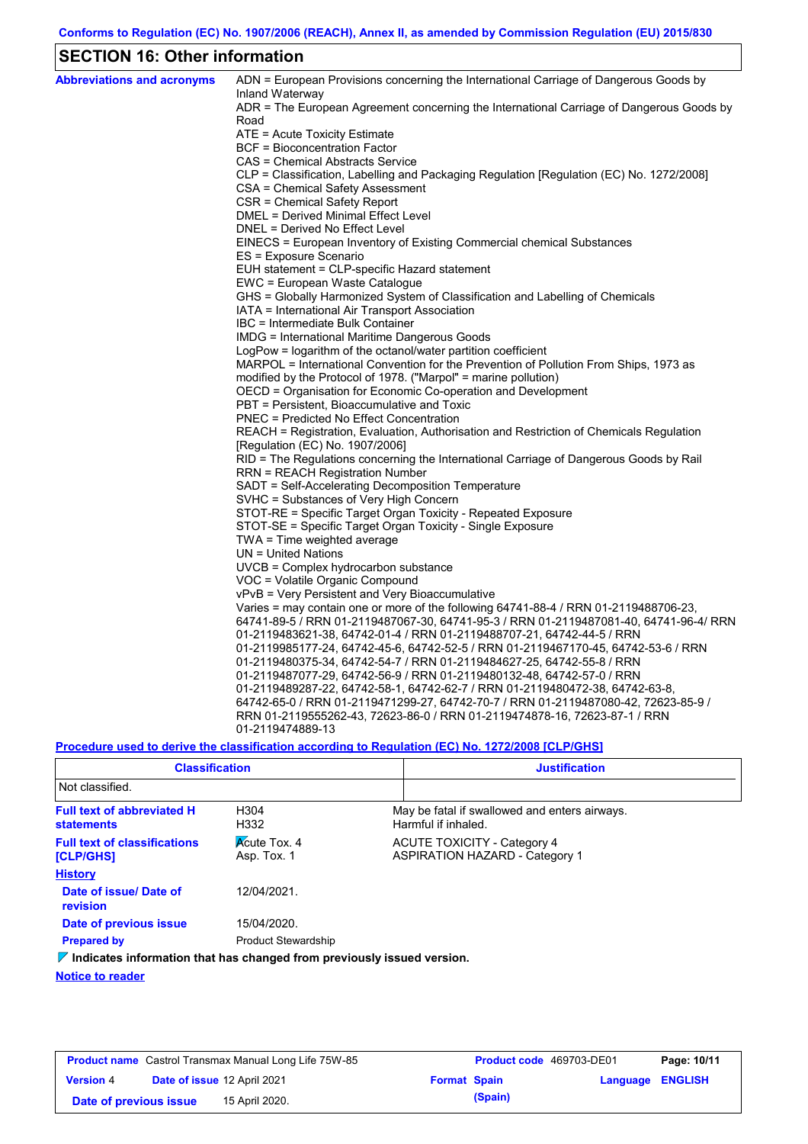# **SECTION 16: Other information**

| <b>Abbreviations and acronyms</b> | ADN = European Provisions concerning the International Carriage of Dangerous Goods by                       |
|-----------------------------------|-------------------------------------------------------------------------------------------------------------|
|                                   | Inland Waterway<br>ADR = The European Agreement concerning the International Carriage of Dangerous Goods by |
|                                   | Road                                                                                                        |
|                                   | ATE = Acute Toxicity Estimate                                                                               |
|                                   | <b>BCF</b> = Bioconcentration Factor                                                                        |
|                                   | CAS = Chemical Abstracts Service                                                                            |
|                                   | CLP = Classification, Labelling and Packaging Regulation [Regulation (EC) No. 1272/2008]                    |
|                                   | CSA = Chemical Safety Assessment                                                                            |
|                                   | CSR = Chemical Safety Report                                                                                |
|                                   | DMEL = Derived Minimal Effect Level                                                                         |
|                                   | DNEL = Derived No Effect Level                                                                              |
|                                   | EINECS = European Inventory of Existing Commercial chemical Substances                                      |
|                                   | ES = Exposure Scenario                                                                                      |
|                                   | EUH statement = CLP-specific Hazard statement                                                               |
|                                   | EWC = European Waste Catalogue                                                                              |
|                                   | GHS = Globally Harmonized System of Classification and Labelling of Chemicals                               |
|                                   | IATA = International Air Transport Association<br>IBC = Intermediate Bulk Container                         |
|                                   | IMDG = International Maritime Dangerous Goods                                                               |
|                                   | LogPow = logarithm of the octanol/water partition coefficient                                               |
|                                   | MARPOL = International Convention for the Prevention of Pollution From Ships, 1973 as                       |
|                                   | modified by the Protocol of 1978. ("Marpol" = marine pollution)                                             |
|                                   | OECD = Organisation for Economic Co-operation and Development                                               |
|                                   | PBT = Persistent, Bioaccumulative and Toxic                                                                 |
|                                   | <b>PNEC = Predicted No Effect Concentration</b>                                                             |
|                                   | REACH = Registration, Evaluation, Authorisation and Restriction of Chemicals Regulation                     |
|                                   | [Regulation (EC) No. 1907/2006]                                                                             |
|                                   | RID = The Regulations concerning the International Carriage of Dangerous Goods by Rail                      |
|                                   | <b>RRN = REACH Registration Number</b>                                                                      |
|                                   | SADT = Self-Accelerating Decomposition Temperature                                                          |
|                                   | SVHC = Substances of Very High Concern                                                                      |
|                                   | STOT-RE = Specific Target Organ Toxicity - Repeated Exposure                                                |
|                                   | STOT-SE = Specific Target Organ Toxicity - Single Exposure                                                  |
|                                   | TWA = Time weighted average                                                                                 |
|                                   | $UN = United Nations$                                                                                       |
|                                   | UVCB = Complex hydrocarbon substance                                                                        |
|                                   | VOC = Volatile Organic Compound                                                                             |
|                                   | vPvB = Very Persistent and Very Bioaccumulative                                                             |
|                                   | Varies = may contain one or more of the following 64741-88-4 / RRN 01-2119488706-23,                        |
|                                   | 64741-89-5 / RRN 01-2119487067-30, 64741-95-3 / RRN 01-2119487081-40, 64741-96-4/ RRN                       |
|                                   | 01-2119483621-38, 64742-01-4 / RRN 01-2119488707-21, 64742-44-5 / RRN                                       |
|                                   | 01-2119985177-24, 64742-45-6, 64742-52-5 / RRN 01-2119467170-45, 64742-53-6 / RRN                           |
|                                   | 01-2119480375-34, 64742-54-7 / RRN 01-2119484627-25, 64742-55-8 / RRN                                       |
|                                   | 01-2119487077-29, 64742-56-9 / RRN 01-2119480132-48, 64742-57-0 / RRN                                       |
|                                   | 01-2119489287-22, 64742-58-1, 64742-62-7 / RRN 01-2119480472-38, 64742-63-8,                                |
|                                   | 64742-65-0 / RRN 01-2119471299-27, 64742-70-7 / RRN 01-2119487080-42, 72623-85-9 /                          |
|                                   | RRN 01-2119555262-43, 72623-86-0 / RRN 01-2119474878-16, 72623-87-1 / RRN                                   |
|                                   | 01-2119474889-13                                                                                            |

**Procedure used to derive the classification according to Regulation (EC) No. 1272/2008 [CLP/GHS]**

| <b>Classification</b>                                                        |                                    | <b>Justification</b> |                                                                             |  |  |
|------------------------------------------------------------------------------|------------------------------------|----------------------|-----------------------------------------------------------------------------|--|--|
| Not classified.                                                              |                                    |                      |                                                                             |  |  |
| <b>Full text of abbreviated H</b><br><b>statements</b>                       | H304<br>H332                       |                      | May be fatal if swallowed and enters airways.<br>Harmful if inhaled.        |  |  |
| <b>Full text of classifications</b><br><b>[CLP/GHS]</b>                      | <b>Acute Tox. 4</b><br>Asp. Tox. 1 |                      | <b>ACUTE TOXICITY - Category 4</b><br><b>ASPIRATION HAZARD - Category 1</b> |  |  |
| <b>History</b>                                                               |                                    |                      |                                                                             |  |  |
| Date of issue/ Date of<br>revision                                           | 12/04/2021                         |                      |                                                                             |  |  |
| Date of previous issue                                                       | 15/04/2020.                        |                      |                                                                             |  |  |
| <b>Prepared by</b>                                                           | <b>Product Stewardship</b>         |                      |                                                                             |  |  |
| $\sim$ Indicatos information that has changed from proviously issued version |                                    |                      |                                                                             |  |  |

**Indicates information that has changed from previously issued version.**

### **Notice to reader**

|                        |                             | <b>Product name</b> Castrol Transmax Manual Long Life 75W-85 |                     | <b>Product code</b> 469703-DE01 |                         | Page: 10/11 |
|------------------------|-----------------------------|--------------------------------------------------------------|---------------------|---------------------------------|-------------------------|-------------|
| <b>Version 4</b>       | Date of issue 12 April 2021 |                                                              | <b>Format Spain</b> |                                 | <b>Language ENGLISH</b> |             |
| Date of previous issue |                             | 15 April 2020.                                               |                     | (Spain)                         |                         |             |